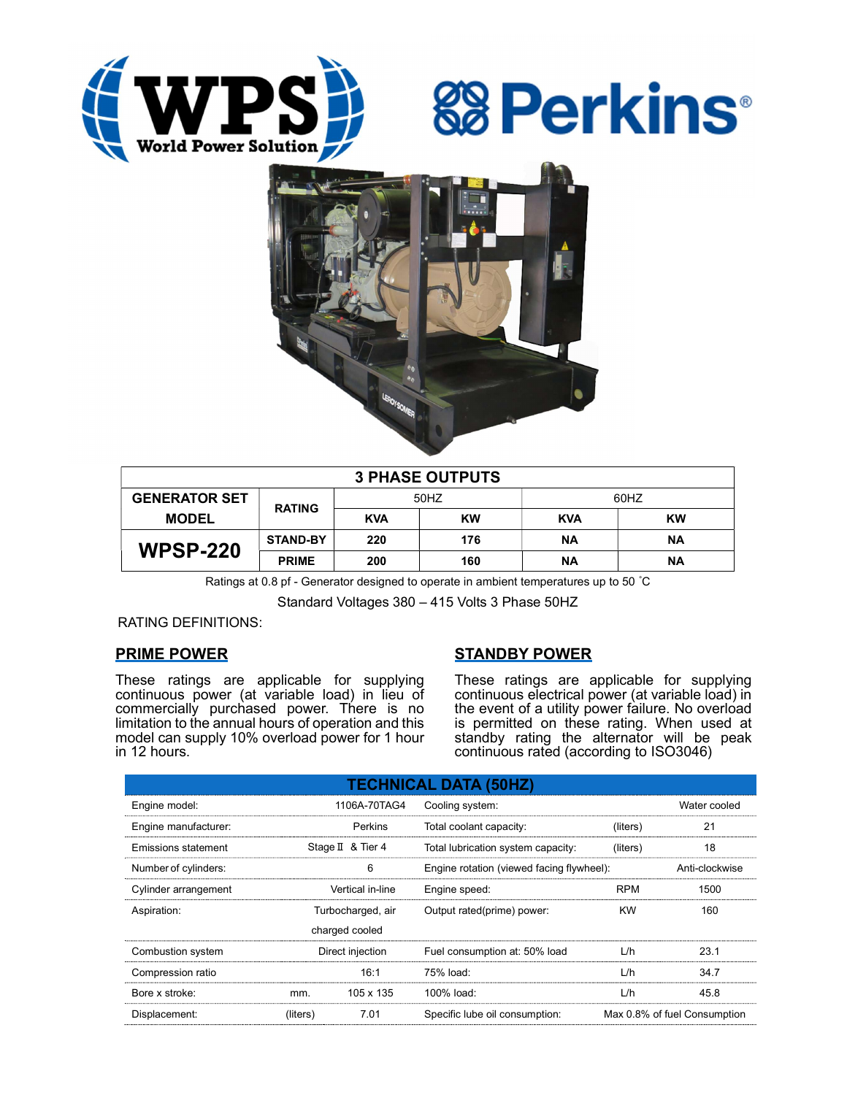





| <b>3 PHASE OUTPUTS</b> |                 |            |           |            |           |  |  |  |
|------------------------|-----------------|------------|-----------|------------|-----------|--|--|--|
| <b>GENERATOR SET</b>   | <b>RATING</b>   | 50HZ       |           | 60HZ       |           |  |  |  |
| <b>MODEL</b>           |                 | <b>KVA</b> | <b>KW</b> | <b>KVA</b> | <b>KW</b> |  |  |  |
| <b>WPSP-220</b>        | <b>STAND-BY</b> | 220        | 176       | <b>NA</b>  | <b>NA</b> |  |  |  |
|                        | <b>PRIME</b>    | 200        | 160       | ΝA         | ΝA        |  |  |  |

Ratings at 0.8 pf - Generator designed to operate in ambient temperatures up to 50 °C

Standard Voltages 380 – 415 Volts 3 Phase 50HZ

RATING DEFINITIONS:

## PRIME POWER

These ratings are applicable for supplying continuous power (at variable load) in lieu of commercially purchased power. There is no limitation to the annual hours of operation and this model can supply 10% overload power for 1 hour in 12 hours.

# STANDBY POWER

These ratings are applicable for supplying continuous electrical power (at variable load) in the event of a utility power failure. No overload is permitted on these rating. When used at standby rating the alternator will be peak continuous rated (according to ISO3046)

| <b>TECHNICAL DATA (50HZ)</b> |                   |                   |                                           |                              |              |  |  |  |  |  |
|------------------------------|-------------------|-------------------|-------------------------------------------|------------------------------|--------------|--|--|--|--|--|
| Engine model:                |                   | 1106A-70TAG4      | Cooling system:                           |                              | Water cooled |  |  |  |  |  |
| Engine manufacturer:         |                   | Perkins           | Total coolant capacity:<br>(liters)       |                              | 21           |  |  |  |  |  |
| Emissions statement          |                   | Stage II & Tier 4 | Total lubrication system capacity:        | (liters)                     | 18           |  |  |  |  |  |
| Number of cylinders:         |                   | 6                 | Engine rotation (viewed facing flywheel): | Anti-clockwise               |              |  |  |  |  |  |
| Cylinder arrangement         |                   | Vertical in-line  | Engine speed:                             | <b>RPM</b>                   | 1500         |  |  |  |  |  |
| Aspiration:                  | Turbocharged, air |                   | Output rated(prime) power:                | <b>KW</b>                    | 160          |  |  |  |  |  |
|                              |                   | charged cooled    |                                           |                              |              |  |  |  |  |  |
| Combustion system            | Direct injection  |                   | Fuel consumption at: 50% load             | L/h                          | 23.1         |  |  |  |  |  |
| Compression ratio            |                   | 16:1              | 75% load:                                 | L/h                          | 34.7         |  |  |  |  |  |
| Bore x stroke:               | mm.               | 105 x 135         | 100% load:                                | L/h                          | 45.8         |  |  |  |  |  |
| Displacement:                | (liters)          | 7.01              | Specific lube oil consumption:            | Max 0.8% of fuel Consumption |              |  |  |  |  |  |